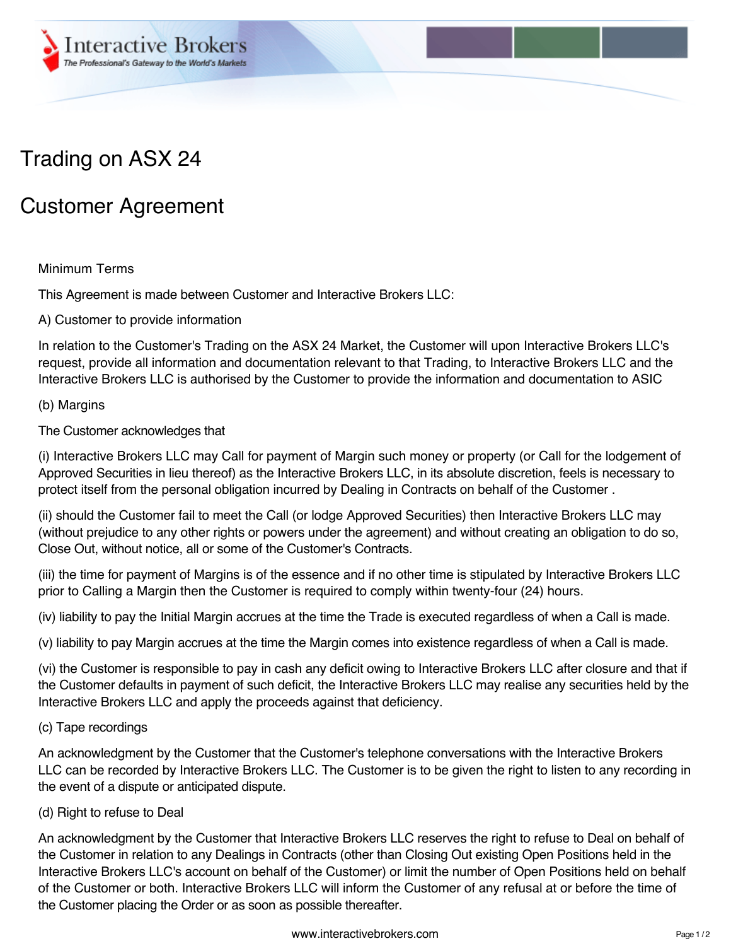

# Trading on ASX 24

## Customer Agreement

## Minimum Terms

This Agreement is made between Customer and Interactive Brokers LLC:

A) Customer to provide information

In relation to the Customer's Trading on the ASX 24 Market, the Customer will upon Interactive Brokers LLC's request, provide all information and documentation relevant to that Trading, to Interactive Brokers LLC and the Interactive Brokers LLC is authorised by the Customer to provide the information and documentation to ASIC

#### (b) Margins

#### The Customer acknowledges that

(i) Interactive Brokers LLC may Call for payment of Margin such money or property (or Call for the lodgement of Approved Securities in lieu thereof) as the Interactive Brokers LLC, in its absolute discretion, feels is necessary to protect itself from the personal obligation incurred by Dealing in Contracts on behalf of the Customer .

(ii) should the Customer fail to meet the Call (or lodge Approved Securities) then Interactive Brokers LLC may (without prejudice to any other rights or powers under the agreement) and without creating an obligation to do so, Close Out, without notice, all or some of the Customer's Contracts.

(iii) the time for payment of Margins is of the essence and if no other time is stipulated by Interactive Brokers LLC prior to Calling a Margin then the Customer is required to comply within twenty-four (24) hours.

(iv) liability to pay the Initial Margin accrues at the time the Trade is executed regardless of when a Call is made.

(v) liability to pay Margin accrues at the time the Margin comes into existence regardless of when a Call is made.

(vi) the Customer is responsible to pay in cash any deficit owing to Interactive Brokers LLC after closure and that if the Customer defaults in payment of such deficit, the Interactive Brokers LLC may realise any securities held by the Interactive Brokers LLC and apply the proceeds against that deficiency.

#### (c) Tape recordings

An acknowledgment by the Customer that the Customer's telephone conversations with the Interactive Brokers LLC can be recorded by Interactive Brokers LLC. The Customer is to be given the right to listen to any recording in the event of a dispute or anticipated dispute.

(d) Right to refuse to Deal

An acknowledgment by the Customer that Interactive Brokers LLC reserves the right to refuse to Deal on behalf of the Customer in relation to any Dealings in Contracts (other than Closing Out existing Open Positions held in the Interactive Brokers LLC's account on behalf of the Customer) or limit the number of Open Positions held on behalf of the Customer or both. Interactive Brokers LLC will inform the Customer of any refusal at or before the time of the Customer placing the Order or as soon as possible thereafter.